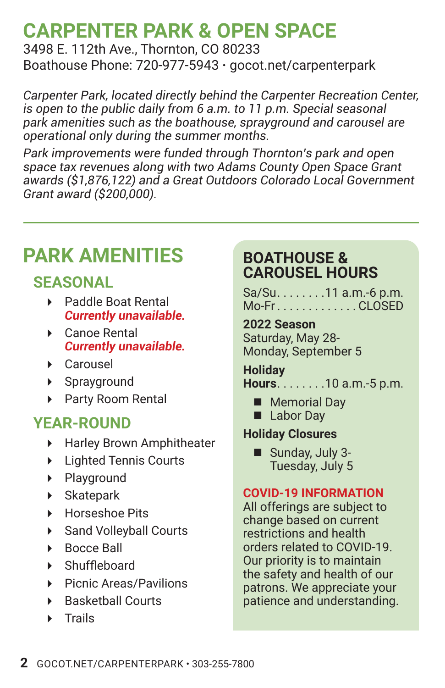## **CARPENTER PARK & OPEN SPACE**

3498 E. 112th Ave., Thornton, CO 80233 Boathouse Phone: 720-977-5943 **·** gocot.net/carpenterpark

*Carpenter Park, located directly behind the Carpenter Recreation Center, is open to the public daily from 6 a.m. to 11 p.m. Special seasonal park amenities such as the boathouse, sprayground and carousel are operational only during the summer months.*

*Park improvements were funded through Thornton's park and open space tax revenues along with two Adams County Open Space Grant awards (\$1,876,122) and a Great Outdoors Colorado Local Government Grant award (\$200,000).*

## **PARK AMENITIES**

### **SEASONAL**

- Paddle Boat Rental *Currently unavailable.*
- ▶ Canoe Rental *Currently unavailable.*
- Carousel
- Sprayground
- ▶ Party Room Rental

### **YEAR-ROUND**

- **Harley Brown Amphitheater**
- Lighted Tennis Courts
- **Playground**
- Skatepark
- ▶ Horseshoe Pits
- Sand Volleyball Courts
- **Bocce Ball**
- Shuffleboard
- ▶ Picnic Areas/Pavilions
- ▶ Basketball Courts
- **F** Trails

#### **BOATHOUSE & CAROUSEL HOURS**

Sa/Su. . . . . . . . 11 a.m.-6 p.m. Mo-Fr. . CLOSED

**2022 Season** Saturday, May 28- Monday, September 5

**Holiday Hours........10 a.m.-5 p.m.** 

- **Memorial Dav**
- **Labor Day**

#### **Holiday Closures**

■ Sunday, July 3-Tuesday, July 5

#### **COVID-19 INFORMATION**

All offerings are subject to change based on current restrictions and health orders related to COVID-19. Our priority is to maintain the safety and health of our patrons. We appreciate your patience and understanding.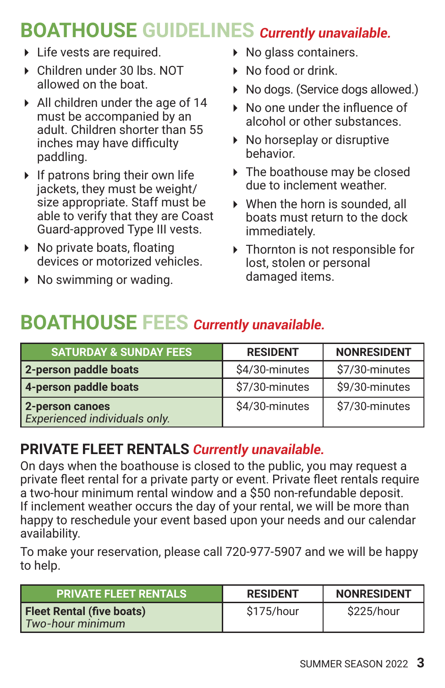## **BOATHOUSE GUIDELINES** *Currently unavailable.*

- ▶ Life vests are required.
- Children under 30 lbs. NOT allowed on the boat.
- All children under the age of 14 must be accompanied by an adult. Children shorter than 55 inches may have difficulty paddling.
- $\triangleright$  If patrons bring their own life jackets, they must be weight/ size appropriate. Staff must be able to verify that they are Coast Guard-approved Type III vests.
- $\triangleright$  No private boats, floating devices or motorized vehicles.
- $\triangleright$  No swimming or wading.
- ▶ No glass containers.
- ▶ No food or drink.
- ▶ No dogs. (Service dogs allowed.)
- ▶ No one under the influence of alcohol or other substances.
- $\triangleright$  No horseplay or disruptive behavior.
- ▶ The boathouse may be closed due to inclement weather.
- When the horn is sounded, all boats must return to the dock immediately.
- Thornton is not responsible for lost, stolen or personal damaged items.

## **BOATHOUSE FEES** *Currently unavailable.*

| <b>SATURDAY &amp; SUNDAY FEES</b>                | <b>RESIDENT</b> | <b>NONRESIDENT</b> |
|--------------------------------------------------|-----------------|--------------------|
| 2-person paddle boats                            | \$4/30-minutes  | \$7/30-minutes     |
| 4-person paddle boats                            | \$7/30-minutes  | \$9/30-minutes     |
| 2-person canoes<br>Experienced individuals only. | \$4/30-minutes  | \$7/30-minutes     |

### **PRIVATE FLEET RENTALS** *Currently unavailable.*

On days when the boathouse is closed to the public, you may request a private fleet rental for a private party or event. Private fleet rentals require a two-hour minimum rental window and a \$50 non-refundable deposit. If inclement weather occurs the day of your rental, we will be more than happy to reschedule your event based upon your needs and our calendar availability.

To make your reservation, please call 720-977-5907 and we will be happy to help.

| <b>PRIVATE FLEET RENTALS</b>                         | <b>RESIDENT</b> | <b>NONRESIDENT</b> |
|------------------------------------------------------|-----------------|--------------------|
| <b>Fleet Rental (five boats)</b><br>Two-hour minimum | \$175/hour      | \$225/hour         |